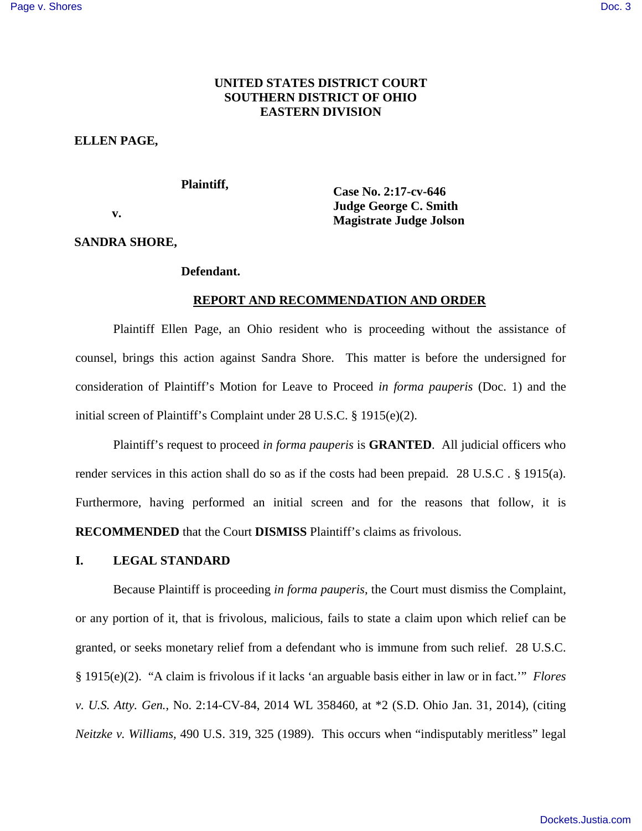# **UNITED STATES DISTRICT COURT SOUTHERN DISTRICT OF OHIO EASTERN DIVISION**

#### **ELLEN PAGE,**

#### **Plaintiff,**

 **v.** 

**Case No. 2:17-cv-646 Judge George C. Smith Magistrate Judge Jolson** 

### **SANDRA SHORE,**

# **Defendant.**

## **REPORT AND RECOMMENDATION AND ORDER**

Plaintiff Ellen Page, an Ohio resident who is proceeding without the assistance of counsel, brings this action against Sandra Shore. This matter is before the undersigned for consideration of Plaintiff's Motion for Leave to Proceed *in forma pauperis* (Doc. 1) and the initial screen of Plaintiff's Complaint under 28 U.S.C. § 1915(e)(2).

Plaintiff's request to proceed *in forma pauperis* is **GRANTED**. All judicial officers who render services in this action shall do so as if the costs had been prepaid. 28 U.S.C . § 1915(a). Furthermore, having performed an initial screen and for the reasons that follow, it is **RECOMMENDED** that the Court **DISMISS** Plaintiff's claims as frivolous.

### **I. LEGAL STANDARD**

Because Plaintiff is proceeding *in forma pauperis*, the Court must dismiss the Complaint, or any portion of it, that is frivolous, malicious, fails to state a claim upon which relief can be granted, or seeks monetary relief from a defendant who is immune from such relief. 28 U.S.C. § 1915(e)(2). "A claim is frivolous if it lacks 'an arguable basis either in law or in fact.'" *Flores v. U.S. Atty. Gen.*, No. 2:14-CV-84, 2014 WL 358460, at \*2 (S.D. Ohio Jan. 31, 2014), (citing *Neitzke v. Williams,* 490 U.S. 319, 325 (1989). This occurs when "indisputably meritless" legal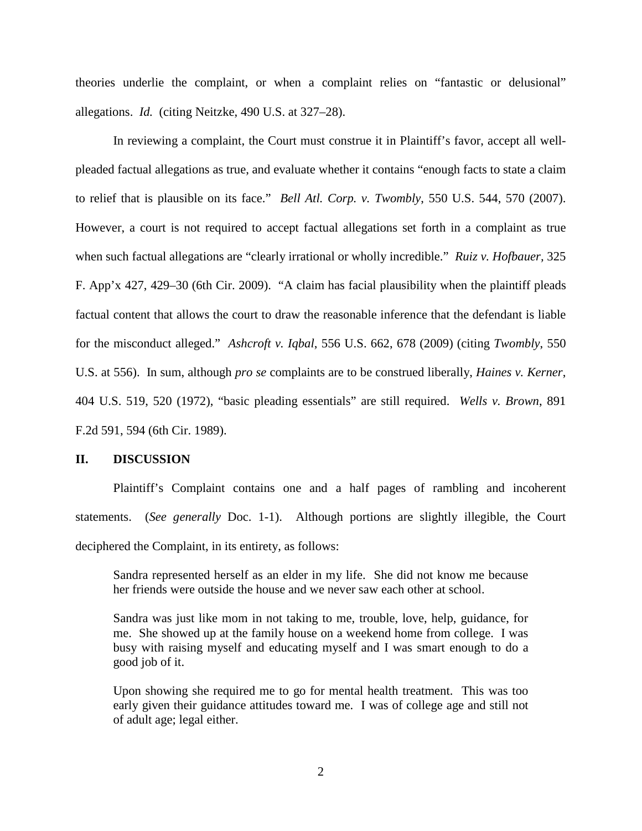theories underlie the complaint, or when a complaint relies on "fantastic or delusional" allegations. *Id.* (citing Neitzke, 490 U.S. at 327–28).

In reviewing a complaint, the Court must construe it in Plaintiff's favor, accept all wellpleaded factual allegations as true, and evaluate whether it contains "enough facts to state a claim to relief that is plausible on its face." *Bell Atl. Corp. v. Twombly*, 550 U.S. 544, 570 (2007). However, a court is not required to accept factual allegations set forth in a complaint as true when such factual allegations are "clearly irrational or wholly incredible." *Ruiz v. Hofbauer,* 325 F. App'x 427, 429–30 (6th Cir. 2009). "A claim has facial plausibility when the plaintiff pleads factual content that allows the court to draw the reasonable inference that the defendant is liable for the misconduct alleged." *Ashcroft v. Iqbal*, 556 U.S. 662, 678 (2009) (citing *Twombly*, 550 U.S. at 556). In sum, although *pro se* complaints are to be construed liberally, *Haines v. Kerner*, 404 U.S. 519, 520 (1972), "basic pleading essentials" are still required. *Wells v. Brown*, 891 F.2d 591, 594 (6th Cir. 1989).

#### **II. DISCUSSION**

Plaintiff's Complaint contains one and a half pages of rambling and incoherent statements. (*See generally* Doc. 1-1). Although portions are slightly illegible, the Court deciphered the Complaint, in its entirety, as follows:

Sandra represented herself as an elder in my life. She did not know me because her friends were outside the house and we never saw each other at school.

Sandra was just like mom in not taking to me, trouble, love, help, guidance, for me. She showed up at the family house on a weekend home from college. I was busy with raising myself and educating myself and I was smart enough to do a good job of it.

Upon showing she required me to go for mental health treatment. This was too early given their guidance attitudes toward me. I was of college age and still not of adult age; legal either.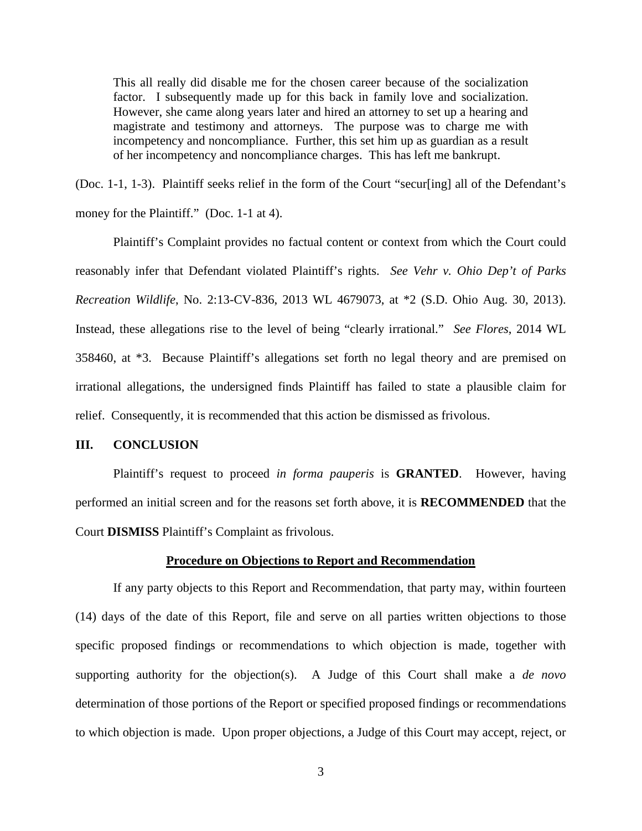This all really did disable me for the chosen career because of the socialization factor. I subsequently made up for this back in family love and socialization. However, she came along years later and hired an attorney to set up a hearing and magistrate and testimony and attorneys. The purpose was to charge me with incompetency and noncompliance. Further, this set him up as guardian as a result of her incompetency and noncompliance charges. This has left me bankrupt.

(Doc. 1-1, 1-3). Plaintiff seeks relief in the form of the Court "secur[ing] all of the Defendant's money for the Plaintiff." (Doc. 1-1 at 4).

Plaintiff's Complaint provides no factual content or context from which the Court could reasonably infer that Defendant violated Plaintiff's rights. *See Vehr v. Ohio Dep't of Parks Recreation Wildlife*, No. 2:13-CV-836, 2013 WL 4679073, at \*2 (S.D. Ohio Aug. 30, 2013). Instead, these allegations rise to the level of being "clearly irrational." *See Flores*, 2014 WL 358460, at \*3. Because Plaintiff's allegations set forth no legal theory and are premised on irrational allegations, the undersigned finds Plaintiff has failed to state a plausible claim for relief. Consequently, it is recommended that this action be dismissed as frivolous.

### **III. CONCLUSION**

Plaintiff's request to proceed *in forma pauperis* is **GRANTED**. However, having performed an initial screen and for the reasons set forth above, it is **RECOMMENDED** that the Court **DISMISS** Plaintiff's Complaint as frivolous.

#### **Procedure on Objections to Report and Recommendation**

If any party objects to this Report and Recommendation, that party may, within fourteen (14) days of the date of this Report, file and serve on all parties written objections to those specific proposed findings or recommendations to which objection is made, together with supporting authority for the objection(s). A Judge of this Court shall make a *de novo* determination of those portions of the Report or specified proposed findings or recommendations to which objection is made. Upon proper objections, a Judge of this Court may accept, reject, or